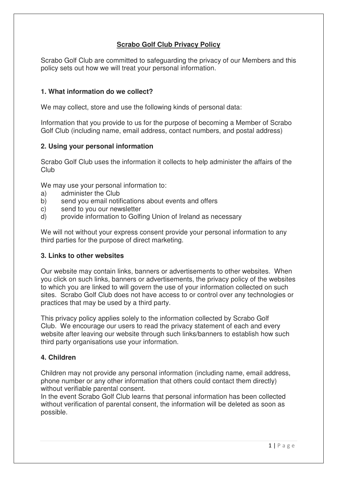# **Scrabo Golf Club Privacy Policy**

Scrabo Golf Club are committed to safeguarding the privacy of our Members and this policy sets out how we will treat your personal information.

# **1. What information do we collect?**

We may collect, store and use the following kinds of personal data:

Information that you provide to us for the purpose of becoming a Member of Scrabo Golf Club (including name, email address, contact numbers, and postal address)

### **2. Using your personal information**

Scrabo Golf Club uses the information it collects to help administer the affairs of the Club

We may use your personal information to:

- a) administer the Club
- b) send you email notifications about events and offers
- c) send to you our newsletter
- d) provide information to Golfing Union of Ireland as necessary

We will not without your express consent provide your personal information to any third parties for the purpose of direct marketing.

### **3. Links to other websites**

Our website may contain links, banners or advertisements to other websites. When you click on such links, banners or advertisements, the privacy policy of the websites to which you are linked to will govern the use of your information collected on such sites. Scrabo Golf Club does not have access to or control over any technologies or practices that may be used by a third party.

This privacy policy applies solely to the information collected by Scrabo Golf Club. We encourage our users to read the privacy statement of each and every website after leaving our website through such links/banners to establish how such third party organisations use your information.

### **4. Children**

Children may not provide any personal information (including name, email address, phone number or any other information that others could contact them directly) without verifiable parental consent.

In the event Scrabo Golf Club learns that personal information has been collected without verification of parental consent, the information will be deleted as soon as possible.